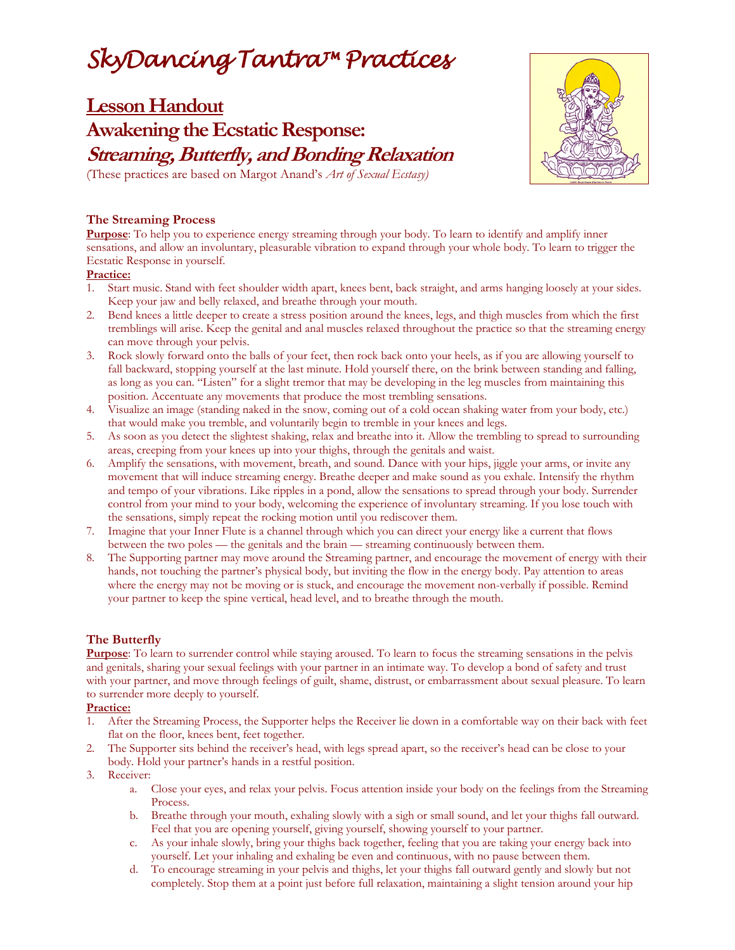# *SkyDancing Tantra™ Practices*

**Lesson Handout**

# **Awakening the Ecstatic Response: Streaming, Butterfly, and Bonding Relaxation**



(These practices are based on Margot Anand's *Art of Sexual Ecstasy)*

# **The Streaming Process**

**Purpose**: To help you to experience energy streaming through your body. To learn to identify and amplify inner sensations, and allow an involuntary, pleasurable vibration to expand through your whole body. To learn to trigger the Ecstatic Response in yourself.

#### **Practice:**

- 1. Start music. Stand with feet shoulder width apart, knees bent, back straight, and arms hanging loosely at your sides. Keep your jaw and belly relaxed, and breathe through your mouth.
- 2. Bend knees a little deeper to create a stress position around the knees, legs, and thigh muscles from which the first tremblings will arise. Keep the genital and anal muscles relaxed throughout the practice so that the streaming energy can move through your pelvis.
- 3. Rock slowly forward onto the balls of your feet, then rock back onto your heels, as if you are allowing yourself to fall backward, stopping yourself at the last minute. Hold yourself there, on the brink between standing and falling, as long as you can. "Listen" for a slight tremor that may be developing in the leg muscles from maintaining this position. Accentuate any movements that produce the most trembling sensations.
- 4. Visualize an image (standing naked in the snow, coming out of a cold ocean shaking water from your body, etc.) that would make you tremble, and voluntarily begin to tremble in your knees and legs.
- 5. As soon as you detect the slightest shaking, relax and breathe into it. Allow the trembling to spread to surrounding areas, creeping from your knees up into your thighs, through the genitals and waist.
- 6. Amplify the sensations, with movement, breath, and sound. Dance with your hips, jiggle your arms, or invite any movement that will induce streaming energy. Breathe deeper and make sound as you exhale. Intensify the rhythm and tempo of your vibrations. Like ripples in a pond, allow the sensations to spread through your body. Surrender control from your mind to your body, welcoming the experience of involuntary streaming. If you lose touch with the sensations, simply repeat the rocking motion until you rediscover them.
- 7. Imagine that your Inner Flute is a channel through which you can direct your energy like a current that flows between the two poles — the genitals and the brain — streaming continuously between them.
- 8. The Supporting partner may move around the Streaming partner, and encourage the movement of energy with their hands, not touching the partner's physical body, but inviting the flow in the energy body. Pay attention to areas where the energy may not be moving or is stuck, and encourage the movement non-verbally if possible. Remind your partner to keep the spine vertical, head level, and to breathe through the mouth.

# **The Butterfly**

**Purpose**: To learn to surrender control while staying aroused. To learn to focus the streaming sensations in the pelvis and genitals, sharing your sexual feelings with your partner in an intimate way. To develop a bond of safety and trust with your partner, and move through feelings of guilt, shame, distrust, or embarrassment about sexual pleasure. To learn to surrender more deeply to yourself.

# **Practice:**

- 1. After the Streaming Process, the Supporter helps the Receiver lie down in a comfortable way on their back with feet flat on the floor, knees bent, feet together.
- 2. The Supporter sits behind the receiver's head, with legs spread apart, so the receiver's head can be close to your body. Hold your partner's hands in a restful position.
- 3. Receiver:
	- a. Close your eyes, and relax your pelvis. Focus attention inside your body on the feelings from the Streaming Process.
	- b. Breathe through your mouth, exhaling slowly with a sigh or small sound, and let your thighs fall outward. Feel that you are opening yourself, giving yourself, showing yourself to your partner.
	- c. As your inhale slowly, bring your thighs back together, feeling that you are taking your energy back into yourself. Let your inhaling and exhaling be even and continuous, with no pause between them.
	- d. To encourage streaming in your pelvis and thighs, let your thighs fall outward gently and slowly but not completely. Stop them at a point just before full relaxation, maintaining a slight tension around your hip